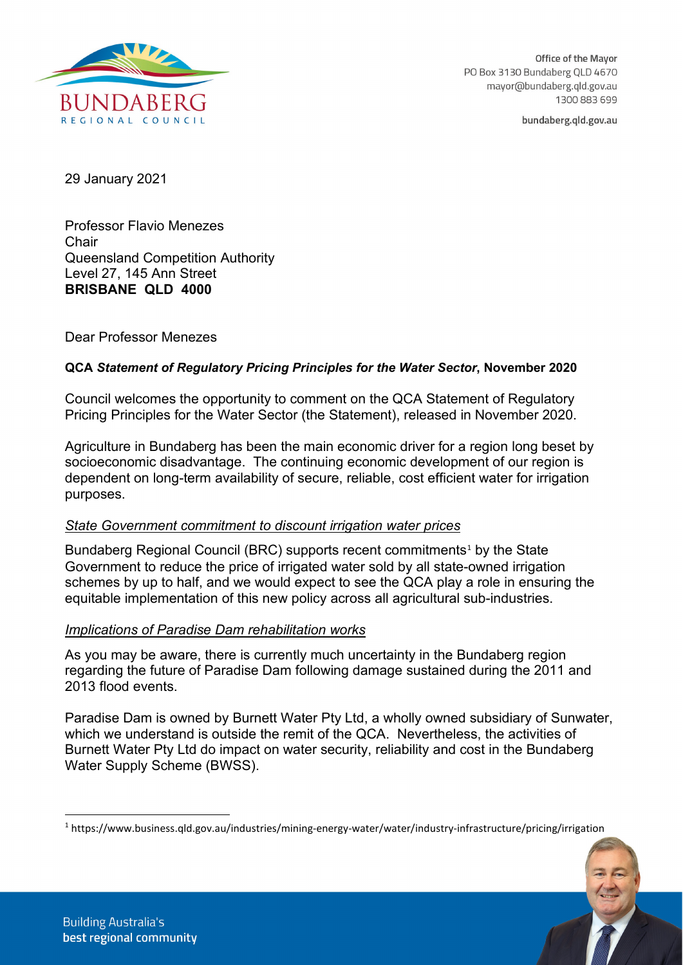

Office of the Mavor PO Box 3130 Bundaberg QLD 4670 mayor@bundaberg.gld.gov.au 1300 883 699

bundaberg.qld.gov.au

29 January 2021

Professor Flavio Menezes **Chair** Queensland Competition Authority Level 27, 145 Ann Street **BRISBANE QLD 4000**

Dear Professor Menezes

### **QCA** *Statement of Regulatory Pricing Principles for the Water Sector***, November 2020**

Council welcomes the opportunity to comment on the QCA Statement of Regulatory Pricing Principles for the Water Sector (the Statement), released in November 2020.

Agriculture in Bundaberg has been the main economic driver for a region long beset by socioeconomic disadvantage. The continuing economic development of our region is dependent on long-term availability of secure, reliable, cost efficient water for irrigation purposes.

#### *State Government commitment to discount irrigation water prices*

Bundaberg Regional Council (BRC) supports recent commitments<sup>[1](#page-0-0)</sup> by the State Government to reduce the price of irrigated water sold by all state-owned irrigation schemes by up to half, and we would expect to see the QCA play a role in ensuring the equitable implementation of this new policy across all agricultural sub-industries.

#### *Implications of Paradise Dam rehabilitation works*

As you may be aware, there is currently much uncertainty in the Bundaberg region regarding the future of Paradise Dam following damage sustained during the 2011 and 2013 flood events.

Paradise Dam is owned by Burnett Water Pty Ltd, a wholly owned subsidiary of Sunwater, which we understand is outside the remit of the QCA. Nevertheless, the activities of Burnett Water Pty Ltd do impact on water security, reliability and cost in the Bundaberg Water Supply Scheme (BWSS).

<span id="page-0-0"></span><sup>1</sup> https://www.business.qld.gov.au/industries/mining-energy-water/water/industry-infrastructure/pricing/irrigation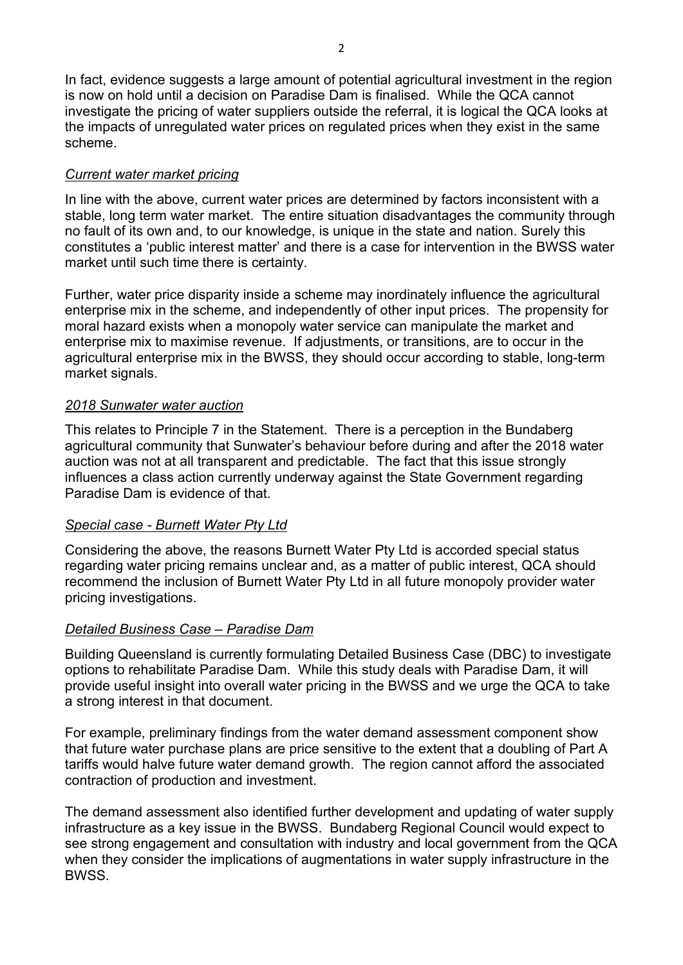In fact, evidence suggests a large amount of potential agricultural investment in the region is now on hold until a decision on Paradise Dam is finalised. While the QCA cannot investigate the pricing of water suppliers outside the referral, it is logical the QCA looks at the impacts of unregulated water prices on regulated prices when they exist in the same scheme.

## *Current water market pricing*

In line with the above, current water prices are determined by factors inconsistent with a stable, long term water market. The entire situation disadvantages the community through no fault of its own and, to our knowledge, is unique in the state and nation. Surely this constitutes a 'public interest matter' and there is a case for intervention in the BWSS water market until such time there is certainty.

Further, water price disparity inside a scheme may inordinately influence the agricultural enterprise mix in the scheme, and independently of other input prices. The propensity for moral hazard exists when a monopoly water service can manipulate the market and enterprise mix to maximise revenue. If adjustments, or transitions, are to occur in the agricultural enterprise mix in the BWSS, they should occur according to stable, long-term market signals.

## *2018 Sunwater water auction*

This relates to Principle 7 in the Statement. There is a perception in the Bundaberg agricultural community that Sunwater's behaviour before during and after the 2018 water auction was not at all transparent and predictable. The fact that this issue strongly influences a class action currently underway against the State Government regarding Paradise Dam is evidence of that.

## *Special case - Burnett Water Pty Ltd*

Considering the above, the reasons Burnett Water Pty Ltd is accorded special status regarding water pricing remains unclear and, as a matter of public interest, QCA should recommend the inclusion of Burnett Water Pty Ltd in all future monopoly provider water pricing investigations.

# *Detailed Business Case – Paradise Dam*

Building Queensland is currently formulating Detailed Business Case (DBC) to investigate options to rehabilitate Paradise Dam. While this study deals with Paradise Dam, it will provide useful insight into overall water pricing in the BWSS and we urge the QCA to take a strong interest in that document.

For example, preliminary findings from the water demand assessment component show that future water purchase plans are price sensitive to the extent that a doubling of Part A tariffs would halve future water demand growth. The region cannot afford the associated contraction of production and investment.

The demand assessment also identified further development and updating of water supply infrastructure as a key issue in the BWSS. Bundaberg Regional Council would expect to see strong engagement and consultation with industry and local government from the QCA when they consider the implications of augmentations in water supply infrastructure in the **BWSS**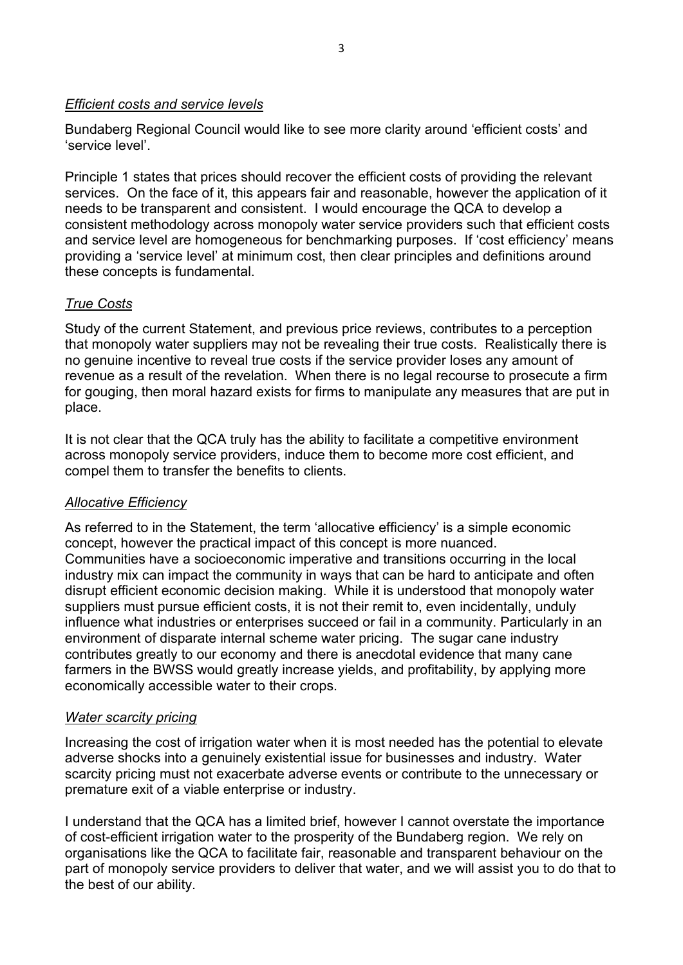## *Efficient costs and service levels*

Bundaberg Regional Council would like to see more clarity around 'efficient costs' and 'service level'.

Principle 1 states that prices should recover the efficient costs of providing the relevant services. On the face of it, this appears fair and reasonable, however the application of it needs to be transparent and consistent. I would encourage the QCA to develop a consistent methodology across monopoly water service providers such that efficient costs and service level are homogeneous for benchmarking purposes. If 'cost efficiency' means providing a 'service level' at minimum cost, then clear principles and definitions around these concepts is fundamental.

## *True Costs*

Study of the current Statement, and previous price reviews, contributes to a perception that monopoly water suppliers may not be revealing their true costs. Realistically there is no genuine incentive to reveal true costs if the service provider loses any amount of revenue as a result of the revelation. When there is no legal recourse to prosecute a firm for gouging, then moral hazard exists for firms to manipulate any measures that are put in place.

It is not clear that the QCA truly has the ability to facilitate a competitive environment across monopoly service providers, induce them to become more cost efficient, and compel them to transfer the benefits to clients.

## *Allocative Efficiency*

As referred to in the Statement, the term 'allocative efficiency' is a simple economic concept, however the practical impact of this concept is more nuanced. Communities have a socioeconomic imperative and transitions occurring in the local industry mix can impact the community in ways that can be hard to anticipate and often disrupt efficient economic decision making. While it is understood that monopoly water suppliers must pursue efficient costs, it is not their remit to, even incidentally, unduly influence what industries or enterprises succeed or fail in a community. Particularly in an environment of disparate internal scheme water pricing. The sugar cane industry contributes greatly to our economy and there is anecdotal evidence that many cane farmers in the BWSS would greatly increase yields, and profitability, by applying more economically accessible water to their crops.

## *Water scarcity pricing*

Increasing the cost of irrigation water when it is most needed has the potential to elevate adverse shocks into a genuinely existential issue for businesses and industry. Water scarcity pricing must not exacerbate adverse events or contribute to the unnecessary or premature exit of a viable enterprise or industry.

I understand that the QCA has a limited brief, however I cannot overstate the importance of cost-efficient irrigation water to the prosperity of the Bundaberg region. We rely on organisations like the QCA to facilitate fair, reasonable and transparent behaviour on the part of monopoly service providers to deliver that water, and we will assist you to do that to the best of our ability.